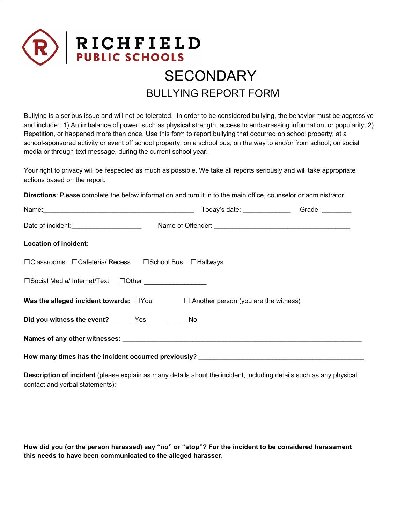

## BULLYING REPORT FORM

Bullying is a serious issue and will not be tolerated. In order to be considered bullying, the behavior must be aggressive and include: 1) An imbalance of power, such as physical strength, access to embarrassing information, or popularity; 2) Repetition, or happened more than once. Use this form to report bullying that occurred on school property; at a school-sponsored activity or event off school property; on a school bus; on the way to and/or from school; on social media or through text message, during the current school year.

Your right to privacy will be respected as much as possible. We take all reports seriously and will take appropriate actions based on the report.

**Directions**: Please complete the below information and turn it in to the main office, counselor or administrator.

|                                                                                                 |  | Today's date: ___________________Grade: ________ |  |
|-------------------------------------------------------------------------------------------------|--|--------------------------------------------------|--|
| Date of incident: ________________________                                                      |  |                                                  |  |
| <b>Location of incident:</b>                                                                    |  |                                                  |  |
| □Classrooms □Cafeteria/ Recess □School Bus □Hallways                                            |  |                                                  |  |
| □Social Media/ Internet/Text □Other ________________                                            |  |                                                  |  |
| <b>Was the alleged incident towards:</b> $\Box$ You $\Box$ Another person (you are the witness) |  |                                                  |  |
| Did you witness the event? ________ Yes _________ No                                            |  |                                                  |  |
|                                                                                                 |  |                                                  |  |
| How many times has the incident occurred previously?                                            |  |                                                  |  |

**Description of incident** (please explain as many details about the incident, including details such as any physical contact and verbal statements):

**How did you (or the person harassed) say "no" or "stop"? For the incident to be considered harassment this needs to have been communicated to the alleged harasser.**